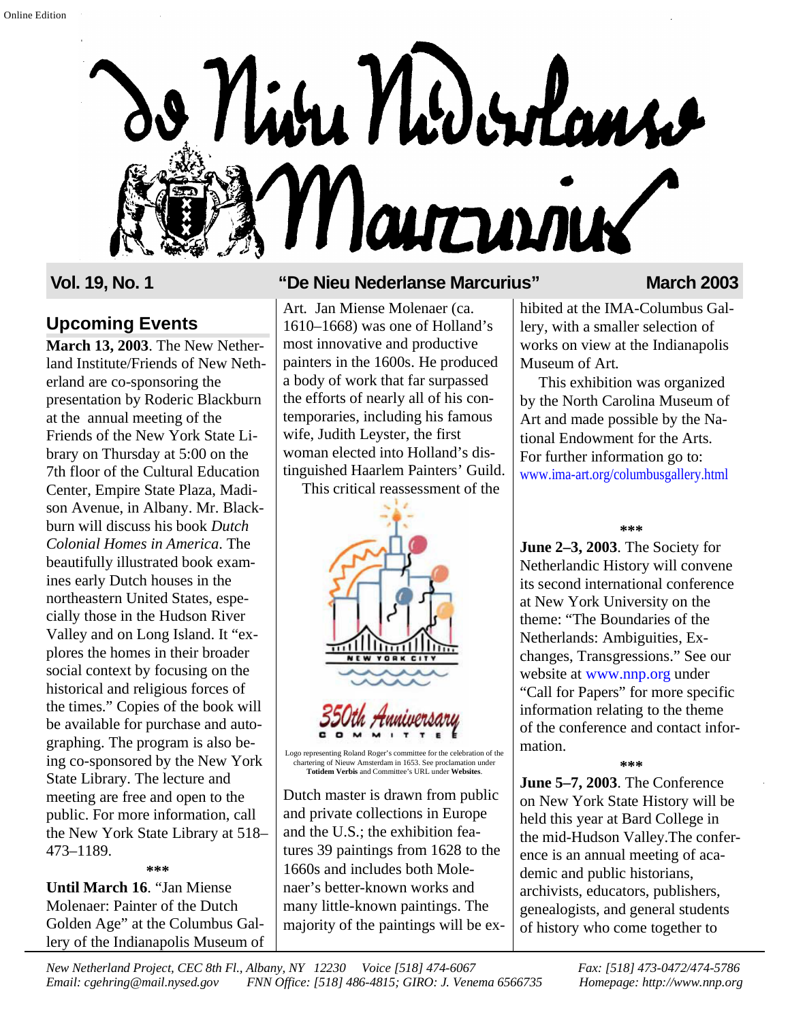

## **Upcoming Events**

**March 13, 2003**. The New Netherland Institute/Friends of New Netherland are co-sponsoring the presentation by Roderic Blackburn at the annual meeting of the Friends of the New York State Library on Thursday at 5:00 on the 7th floor of the Cultural Education Center, Empire State Plaza, Madison Avenue, in Albany. Mr. Blackburn will discuss his book *Dutch Colonial Homes in America*. The beautifully illustrated book examines early Dutch houses in the northeastern United States, especially those in the Hudson River Valley and on Long Island. It "explores the homes in their broader social context by focusing on the historical and religious forces of the times." Copies of the book will be available for purchase and autographing. The program is also being co-sponsored by the New York State Library. The lecture and meeting are free and open to the public. For more information, call the New York State Library at 518– 473–1189.

**\*\*\***

**Until March 16**. "Jan Miense Molenaer: Painter of the Dutch Golden Age" at the Columbus Gallery of the Indianapolis Museum of

## **Vol. 19, No. 1 "De Nieu Nederlanse Marcurius" March 2003**

Art. Jan Miense Molenaer (ca. 1610–1668) was one of Holland's most innovative and productive painters in the 1600s. He produced a body of work that far surpassed the efforts of nearly all of his contemporaries, including his famous wife, Judith Leyster, the first woman elected into Holland's distinguished Haarlem Painters' Guild.

This critical reassessment of the



Logo representing Roland Roger's committee for the celebration of the chartering of Nieuw Amsterdam in 1653. See proclamation under **Totidem Verbis** and Committee's URL under **Websites**.

Dutch master is drawn from public and private collections in Europe and the U.S.; the exhibition features 39 paintings from 1628 to the 1660s and includes both Molenaer's better-known works and many little-known paintings. The majority of the paintings will be ex-

hibited at the IMA-Columbus Gallery, with a smaller selection of works on view at the Indianapolis Museum of Art.

This exhibition was organized by the North Carolina Museum of Art and made possible by the National Endowment for the Arts. For further information go to: [www.ima-art.org/columbusgallery.html](http://www.ima-art.org/columbusgallery.html)

**\*\*\***

**June 2–3, 2003**. The Society for Netherlandic History will convene its second international conference at New York University on the theme: "The Boundaries of the Netherlands: Ambiguities, Exchanges, Transgressions." See our website at [www.nnp.org](http://www.nnp.org) under "Call for Papers" for more specific information relating to the theme of the conference and contact information.

**\*\*\***

**June 5–7, 2003**. The Conference on New York State History will be held this year at Bard College in the mid-Hudson Valley.The conference is an annual meeting of academic and public historians, archivists, educators, publishers, genealogists, and general students of history who come together to

*New Netherland Project, CEC 8th Fl., Albany, NY 12230 Voice [518] 474-6067 Fax: [518] 473-0472/474-5786 Email: cgehring@mail.nysed.gov FNN Office: [518] 486-4815; GIRO: J. Venema 6566735 Homepage: http://www.nnp.org*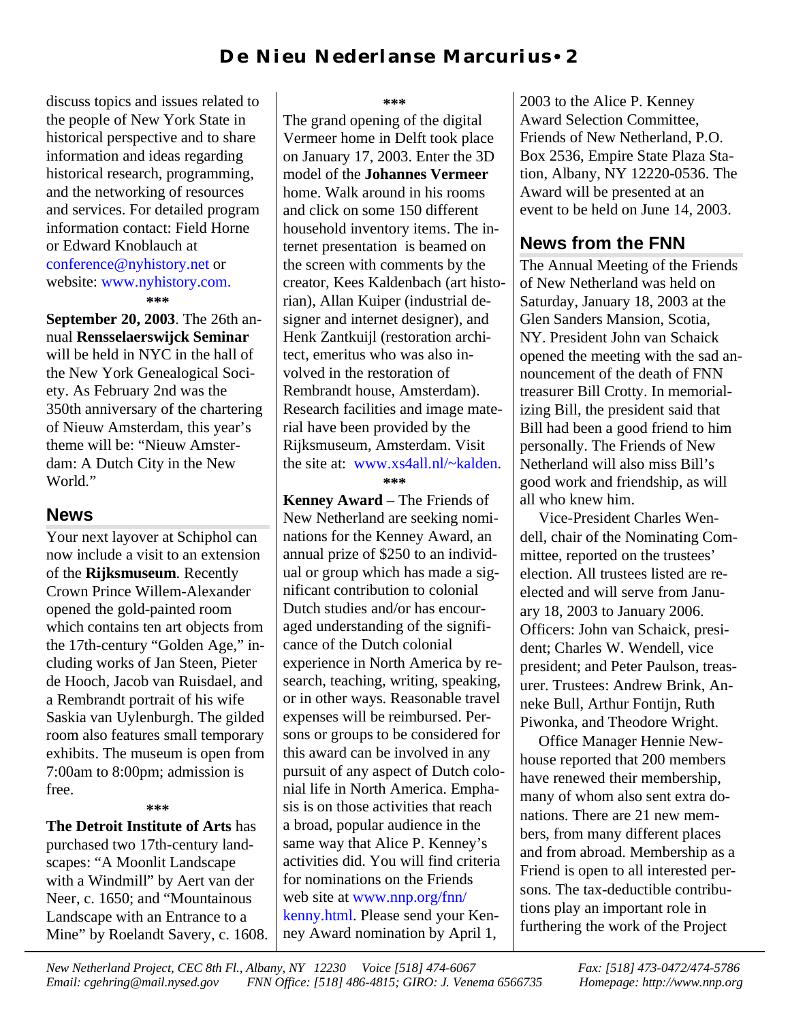discuss topics and issues related to the people of New York State in historical perspective and to share information and ideas regarding historical research, programming, and the networking of resources and services. For detailed program information contact: Field Horne or Edward Knoblauch at [conference@nyhistory.net](mailto:conference@nyhistory.net) or website[: www.nyhistory.com.](http://www.nyhistory.com) **\*\*\***

**September 20, 2003**. The 26th annual **Rensselaerswijck Seminar** will be held in NYC in the hall of the New York Genealogical Society. As February 2nd was the 350th anniversary of the chartering of Nieuw Amsterdam, this year's theme will be: "Nieuw Amsterdam: A Dutch City in the New World."

#### **News**

Your next layover at Schiphol can now include a visit to an extension of the **Rijksmuseum**. Recently Crown Prince Willem-Alexander opened the gold-painted room which contains ten art objects from the 17th-century "Golden Age," including works of Jan Steen, Pieter de Hooch, Jacob van Ruisdael, and a Rembrandt portrait of his wife Saskia van Uylenburgh. The gilded room also features small temporary exhibits. The museum is open from 7:00am to 8:00pm; admission is free.

#### **\*\*\***

**The Detroit Institute of Arts** has purchased two 17th-century landscapes: "A Moonlit Landscape with a Windmill" by Aert van der Neer, c. 1650; and "Mountainous Landscape with an Entrance to a Mine" by Roelandt Savery, c. 1608.

#### **\*\*\***

The grand opening of the digital Vermeer home in Delft took place on January 17, 2003. Enter the 3D model of the **Johannes Vermeer** home. Walk around in his rooms and click on some 150 different household inventory items. The internet presentation is beamed on the screen with comments by the creator, Kees Kaldenbach (art historian), Allan Kuiper (industrial designer and internet designer), and Henk Zantkuijl (restoration architect, emeritus who was also involved in the restoration of Rembrandt house, Amsterdam). Research facilities and image material have been provided by the Rijksmuseum, Amsterdam. Visit the site at: [www.xs4all.nl/~kalden.](http://www.xs4all.nl/~kalden)

#### **\*\*\***

**Kenney Award** – The Friends of New Netherland are seeking nominations for the Kenney Award, an annual prize of \$250 to an individual or group which has made a significant contribution to colonial Dutch studies and/or has encouraged understanding of the significance of the Dutch colonial experience in North America by research, teaching, writing, speaking, or in other ways. Reasonable travel expenses will be reimbursed. Persons or groups to be considered for this award can be involved in any pursuit of any aspect of Dutch colonial life in North America. Emphasis is on those activities that reach a broad, popular audience in the same way that Alice P. Kenney's activities did. You will find criteria for nominations on the Friends web site at [www.nnp.org/fnn/](http://www.nnp.org/fnn/kenny.html) kenny.html. Please send your Kenney Award nomination by April 1,

2003 to the Alice P. Kenney Award Selection Committee, Friends of New Netherland, P.O. Box 2536, Empire State Plaza Station, Albany, NY 12220-0536. The Award will be presented at an event to be held on June 14, 2003.

## **News from the FNN**

The Annual Meeting of the Friends of New Netherland was held on Saturday, January 18, 2003 at the Glen Sanders Mansion, Scotia, NY. President John van Schaick opened the meeting with the sad announcement of the death of FNN treasurer Bill Crotty. In memorializing Bill, the president said that Bill had been a good friend to him personally. The Friends of New Netherland will also miss Bill's good work and friendship, as will all who knew him.

Vice-President Charles Wendell, chair of the Nominating Committee, reported on the trustees' election. All trustees listed are reelected and will serve from January 18, 2003 to January 2006. Officers: John van Schaick, president; Charles W. Wendell, vice president; and Peter Paulson, treasurer. Trustees: Andrew Brink, Anneke Bull, Arthur Fontijn, Ruth Piwonka, and Theodore Wright.

Office Manager Hennie Newhouse reported that 200 members have renewed their membership, many of whom also sent extra donations. There are 21 new members, from many different places and from abroad. Membership as a Friend is open to all interested persons. The tax-deductible contributions play an important role in furthering the work of the Project

*New Netherland Project, CEC 8th Fl., Albany, NY 12230 Voice [518] 474-6067 Fax: [518] 473-0472/474-5786 Email: cgehring@mail.nysed.gov FNN Office: [518] 486-4815; GIRO: J. Venema 6566735 Homepage: http://www.nnp.org*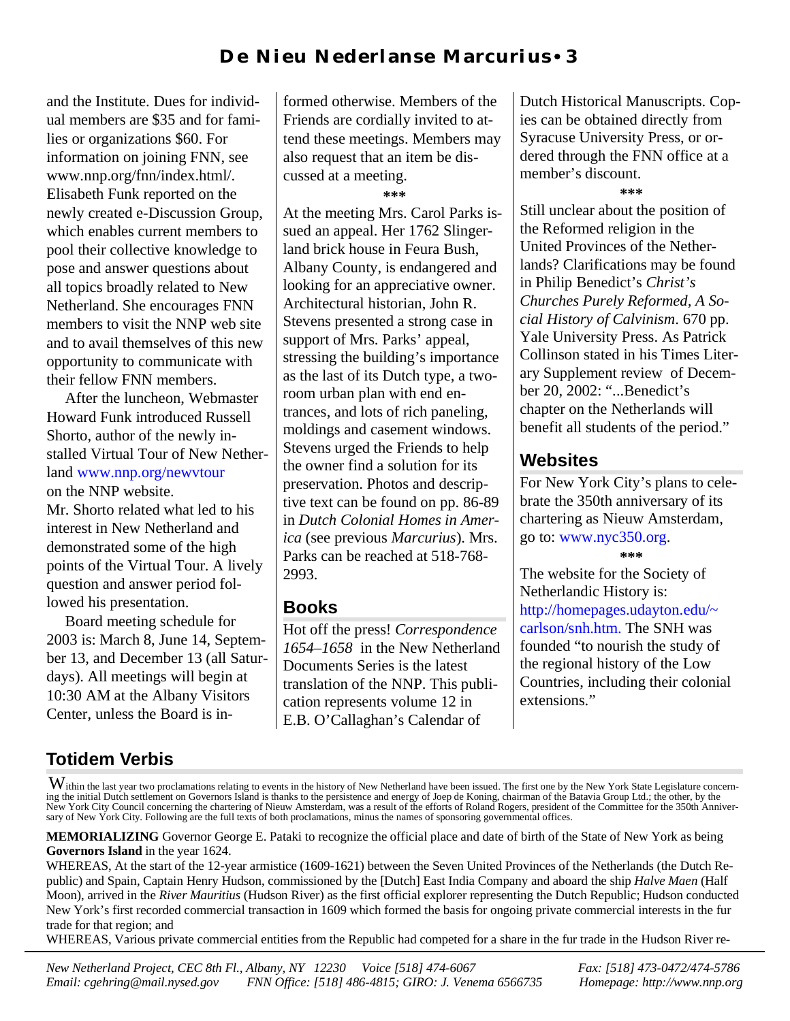and the Institute. Dues for individual members are \$35 and for families or organizations \$60. For information on joining FNN, see www.nnp.org/fnn/index.html/. Elisabeth Funk reported on the newly created e-Discussion Group, which enables current members to pool their collective knowledge to pose and answer questions about all topics broadly related to New Netherland. She encourages FNN members to visit the NNP web site and to avail themselves of this new opportunity to communicate with their fellow FNN members.

After the luncheon, Webmaster Howard Funk introduced Russell Shorto, author of the newly installed Virtual Tour of New Nether[land www.nnp.org/newvtour](http://www.nnp.org/newvtour) on the NNP website.

Mr. Shorto related what led to his interest in New Netherland and demonstrated some of the high points of the Virtual Tour. A lively question and answer period followed his presentation.

Board meeting schedule for 2003 is: March 8, June 14, September 13, and December 13 (all Saturdays). All meetings will begin at 10:30 AM at the Albany Visitors Center, unless the Board is informed otherwise. Members of the Friends are cordially invited to attend these meetings. Members may also request that an item be discussed at a meeting.

**\*\*\***

At the meeting Mrs. Carol Parks issued an appeal. Her 1762 Slingerland brick house in Feura Bush, Albany County, is endangered and looking for an appreciative owner. Architectural historian, John R. Stevens presented a strong case in support of Mrs. Parks' appeal, stressing the building's importance as the last of its Dutch type, a tworoom urban plan with end entrances, and lots of rich paneling, moldings and casement windows. Stevens urged the Friends to help the owner find a solution for its preservation. Photos and descriptive text can be found on pp. 86-89 in *Dutch Colonial Homes in America* (see previous *Marcurius*). Mrs. Parks can be reached at 518-768- 2993.

### **Books**

Hot off the press! *Correspondence 1654–1658* in the New Netherland Documents Series is the latest translation of the NNP. This publication represents volume 12 in E.B. O'Callaghan's Calendar of

Dutch Historical Manuscripts. Copies can be obtained directly from Syracuse University Press, or ordered through the FNN office at a member's discount.

**\*\*\***

Still unclear about the position of the Reformed religion in the United Provinces of the Netherlands? Clarifications may be found in Philip Benedict's *Christ's Churches Purely Reformed, A Social History of Calvinism*. 670 pp. Yale University Press. As Patrick Collinson stated in his Times Literary Supplement review of December 20, 2002: "...Benedict's chapter on the Netherlands will benefit all students of the period."

# **Websites**

For New York City's plans to celebrate the 350th anniversary of its chartering as Nieuw Amsterdam, go to: [www.nyc350.org.](http://www.nyc350.org) **\*\*\***

The website for the Society of Netherlandic History is: [http://homepages.udayton.edu/~](http://homepages.udayton.eud/~carlson/snh.htm) carlson/snh.htm. The SNH was founded "to nourish the study of the regional history of the Low Countries, including their colonial extensions."

# **Totidem Verbis**

WHEREAS, Various private commercial entities from the Republic had competed for a share in the fur trade in the Hudson River re-

Within the last year two proclamations relating to events in the history of New Netherland have been issued. The first one by the New York State Legislature concerning the initial Dutch settlement on Governors Island is thanks to the persistence and energy of Joep de Koning, chairman of the Batavia Group Ltd.; the other, by the<br>New York City Council concerning the chartering of Nieuw sary of New York City. Following are the full texts of both proclamations, minus the names of sponsoring governmental offices.

**MEMORIALIZING** Governor George E. Pataki to recognize the official place and date of birth of the State of New York as being **Governors Island** in the year 1624.

WHEREAS, At the start of the 12-year armistice (1609-1621) between the Seven United Provinces of the Netherlands (the Dutch Republic) and Spain, Captain Henry Hudson, commissioned by the [Dutch] East India Company and aboard the ship *Halve Maen* (Half Moon), arrived in the *River Mauritius* (Hudson River) as the first official explorer representing the Dutch Republic; Hudson conducted New York's first recorded commercial transaction in 1609 which formed the basis for ongoing private commercial interests in the fur trade for that region; and